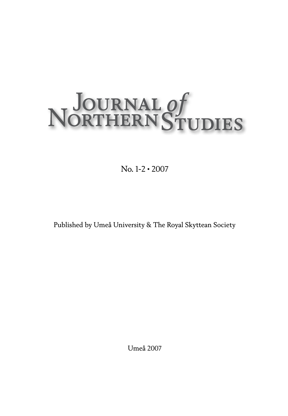# NOURNAL Of<br>NORTHERN STUDIES

No. 1-2 • 2007

Published by Umeå University & The Royal Skyttean Society

Umeå 2007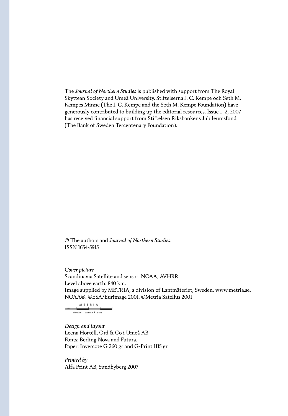The *Journal of Northern Studies* is published with support from The Royal Skyttean Society and Umeå University. Stiftelserna J. C. Kempe och Seth M. Kempes Minne (The J. C. Kempe and the Seth M. Kempe Foundation) have generously contributed to building up the editorial resources. Issue 1–2, 2007 has received financial support from Stiftelsen Riksbankens Jubileumsfond (The Bank of Sweden Tercentenary Foundation).

© The authors and *Journal of Northern Studies*. ISSN 1654-5915

*Cover picture* Scandinavia Satellite and sensor: NOAA, AVHRR. Level above earth: 840 km. Image supplied by METRIA, a division of Lantmäteriet, Sweden. www.metria.se. NOAA®. ©ESA/Eurimage 2001. ©Metria Satellus 2001

METRIA سيبر INGÅR I LANTMÄTERIET

*Design and layout* Leena Hortéll, Ord & Co i Umeå AB Fonts: Berling Nova and Futura. Paper: Invercote G 260 gr and G-Print 1115 gr

*Printed by* Alfa Print AB, Sundbyberg 2007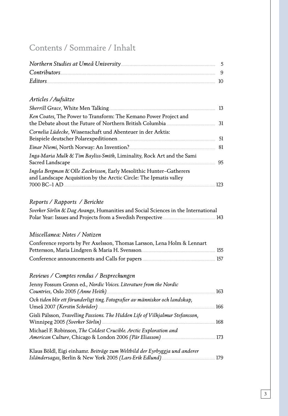### Contents / Sommaire / Inhalt

| Contributors 9 |  |
|----------------|--|
|                |  |

### *Articles /Aufsätze*

| Ken Coates, The Power to Transform: The Kemano Power Project and                                                                          |     |
|-------------------------------------------------------------------------------------------------------------------------------------------|-----|
| Cornelia Lüdecke, Wissenschaft und Abenteuer in der Arktis:                                                                               | 51  |
|                                                                                                                                           |     |
| Inga-Maria Mulk & Tim Bayliss-Smith, Liminality, Rock Art and the Sami                                                                    | 95  |
| Ingela Bergman & Olle Zackrisson, Early Mesolithic Hunter-Gatherers<br>and Landscape Acquisition by the Arctic Circle: The Ipmatis valley |     |
|                                                                                                                                           | 123 |

### *Reports / Rapports / Berichte*

| Sverker Sörlin & Dag Avango, Humanities and Social Sciences in the International |                    |
|----------------------------------------------------------------------------------|--------------------|
|                                                                                  | $\blacksquare$ 143 |

### *Miscellanea: Notes / Notizen*

| Conference reports by Per Axelsson, Thomas Larsson, Lena Holm & Lennart             |  |
|-------------------------------------------------------------------------------------|--|
| Pettersson, Maria Lindgren & Maria H. Svensson <b>mariamurgan and State In-</b> 155 |  |
|                                                                                     |  |

### *Reviews / Comptes rendus / Besprechungen*

| Jenny Fossum Grønn ed., Nordic Voices. Literature from the Nordic             | 163 |
|-------------------------------------------------------------------------------|-----|
| Och tiden blir ett förunderligt ting. Fotografier av människor och landskap,  | 166 |
| Gísli Pálsson, Travelling Passions. The Hidden Life of Vilhjalmur Stefansson, | 168 |
| Michael F. Robinson, The Coldest Crucible. Arctic Exploration and             |     |
| Klaus Böldl, Eigi einhamr. Beiträge zum Weltbild der Eyrbyggja und anderer    |     |

*Isländersagas,* Berlin & New York 2005 *(Lars-Erik Edlund)*. . . . . . . . . . . . . . . . . . . . . . . . . . . . . . . . . . . . . . . . . . . . . 179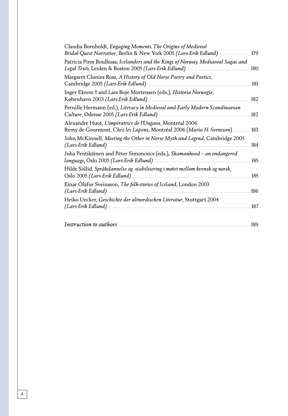| Claudia Bornholdt, <i>Engaging Moments</i> . The Origins of Medieval<br>Bridal-Quest Narrative, Berlin & New York 2005 (Lars-Erik Edlund)179 |       |
|----------------------------------------------------------------------------------------------------------------------------------------------|-------|
| Patricia Pires Boulhosa, Icelanders and the Kings of Norway. Mediaeval Sagas and                                                             | .180  |
| Margaret Clunies Ross, A History of Old Norse Poetry and Poetics,                                                                            | 181   |
| Inger Ekrem † and Lars Boje Mortensen (eds.), Historia Norwegie,<br>København 2003 (Lars-Erik Edlund)                                        | 182   |
| Pernille Hermann (ed.), Literacy in Medieval and Early Modern Scandinavian                                                                   | 182   |
| Alexandre Huot, L'impératrice de l'Ungava, Montréal 2006.<br>Remy de Gourmont, Chez les Lapons, Montréal 2006 (Maria H. Svensson)            | . 183 |
| John McKinnell, Meeting the Other in Norse Myth and Legend, Cambridge 2005                                                                   | 184   |
| Juha Pentikäinen and Péter Simoncsics (eds.), Shamanhood - an endangered                                                                     | 185   |
| Hilde Sollid, Språkdannelse og -stabilisering i møtet mellom kvensk og norsk,                                                                | 185   |
| Einar Olafur Sveinsson, The folk-stories of Iceland, London 2003                                                                             | 186   |
| Heiko Uecker, Geschichte der altnordischen Literatur, Stuttgart 2004                                                                         | 187   |
|                                                                                                                                              | 189   |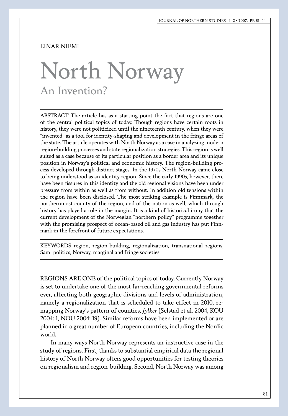### Einar Niemi

## North Norway An Invention?

ABSTRACT The article has as a starting point the fact that regions are one of the central political topics of today. Though regions have certain roots in history, they were not politicized until the nineteenth century, when they were "invented" as a tool for identity-shaping and development in the fringe areas of the state. The article operates with North Norway as a case in analyzing modern region-building processes and state regionalization strategies. This region is well suited as a case because of its particular position as a border area and its unique position in Norway's political and economic history. The region-building process developed through distinct stages. In the 1970s North Norway came close to being understood as an identity region. Since the early 1990s, however, there have been fissures in this identity and the old regional visions have been under pressure from within as well as from without. In addition old tensions within the region have been disclosed. The most striking example is Finnmark, the northernmost county of the region, and of the nation as well, which through history has played a role in the margin. It is a kind of historical irony that the current development of the Norwegian "northern policy" programme together with the promising prospect of ocean-based oil and gas industry has put Finnmark in the forefront of future expectations.

KEYWORDS region, region-building, regionalization, transnational regions, Sami politics, Norway, marginal and fringe societies

REGIONS ARE ONE of the political topics of today. Currently Norway is set to undertake one of the most far-reaching governmental reforms ever, affecting both geographic divisions and levels of administration, namely a regionalization that is scheduled to take effect in 2010, remapping Norway's pattern of counties, *fylker* (Selstad et al. 2004, KOU 2004: 1, NOU 2004: 19). Similar reforms have been implemented or are planned in a great number of European countries, including the Nordic world.

In many ways North Norway represents an instructive case in the study of regions. First, thanks to substantial empirical data the regional history of North Norway offers good opportunities for testing theories on regionalism and region-building. Second, North Norway was among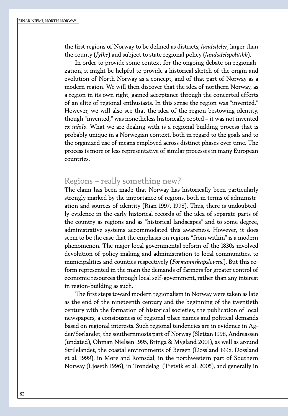the first regions of Norway to be defined as districts, *landsdeler*, larger than the county (*fylke*) and subject to state regional policy (*landsdelspolitikk*).

In order to provide some context for the ongoing debate on regionalization, it might be helpful to provide a historical sketch of the origin and evolution of North Norway as a concept, and of that part of Norway as a modern region. We will then discover that the idea of northern Norway, as a region in its own right, gained acceptance through the concerted efforts of an elite of regional enthusiasts. In this sense the region was "invented." However, we will also see that the idea of the region bestowing identity, though "invented," was nonetheless historically rooted – it was not invented *ex nihilo*. What we are dealing with is a regional building process that is probably unique in a Norwegian context, both in regard to the goals and to the organized use of means employed across distinct phases over time. The process is more or less representative of similar processes in many European countries.

### Regions – really something new?

The claim has been made that Norway has historically been particularly strongly marked by the importance of regions, both in terms of administration and sources of identity (Rian 1997, 1998). Thus, there is undoubtedly evidence in the early historical records of the idea of separate parts of the country as regions and as "historical landscapes" and to some degree, administrative systems accommodated this awareness. However, it does seem to be the case that the emphasis on regions "from within" is a modern phenomenon. The major local governmental reform of the 1830s involved devolution of policy-making and administration to local communities, to municipalities and counties respectively (*Formannskapslovene*). But this reform represented in the main the demands of farmers for greater control of economic resources through local self-government, rather than any interest in region-building as such.

The first steps toward modern regionalism in Norway were taken as late as the end of the nineteenth century and the beginning of the twentieth century with the formation of historical societies, the publication of local newspapers, a consiousness of regional place names and political demands based on regional interests. Such regional tendencies are in evidence in Agder/Sørlandet, the southernmosts part of Norway (Slettan 1998, Andreassen (undated), Ohman Nielsen 1995, Bringa & Mygland 2001), as well as around Strilelandet, the coastal environments of Bergen (Døssland 1998, Døssland et al. 1999), in Møre and Romsdal, in the northwestern part of Southern Norway (Ljøseth 1996), in Trøndelag (Tretvik et al. 2005), and generally in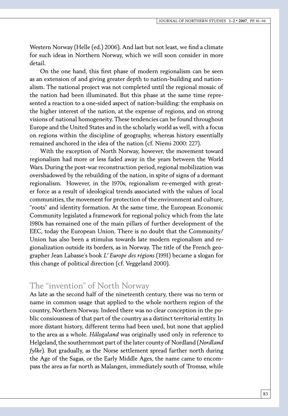Western Norway (Helle (ed.) 2006). And last but not least, we find a climate for such ideas in Northern Norway, which we will soon consider in more detail.

On the one hand, this first phase of modern regionalism can be seen as an extension of and giving greater depth to nation-building and nationalism. The national project was not completed until the regional mosaic of the nation had been illuminated. But this phase at the same time represented a reaction to a one-sided aspect of nation-building: the emphasis on the higher interest of the nation, at the expense of regions, and on strong visions of national homogeneity. These tendencies can be found throughout Europe and the United States and in the scholarly world as well, with a focus on regions within the discipline of geography, whereas history essentially remained anchored in the idea of the nation (cf. Niemi 2000: 227).

With the exception of North Norway, however, the movement toward regionalism had more or less faded away in the years between the World Wars. During the post-war reconstruction period, regional mobilization was overshadowed by the rebuilding of the nation, in spite of signs of a dormant regionalism. However, in the 1970s, regionalism re-emerged with greater force as a result of ideological trends associated with the values of local communities, the movement for protection of the environment and culture, "roots" and identity formation. At the same time, the European Economic Community legislated a framework for regional policy which from the late 1980s has remained one of the main pillars of further development of the EEC, today the European Union. There is no doubt that the Community/ Union has also been a stimulus towards late modern regionalism and regionalization outside its borders, as in Norway. The title of the French geographer Jean Labasse's book *L' Europe des régions* (1991) became a slogan for this change of political direction (cf. Veggeland 2000).

### The "invention" of North Norway

As late as the second half of the nineteenth century, there was no term or name in common usage that applied to the whole northern region of the country, Northern Norway. Indeed there was no clear conception in the public consiousness of that part of the country as a distinct territorial entity. In more distant history, different terms had been used, but none that applied to the area as a whole. *Hålogaland* was originally used only in reference to Helgeland*,* the southernmost part of the later county of Nordland (*Nordland fylke*). But gradually, as the Norse settlement spread farther north during the Age of the Sagas, or the Early Middle Ages, the name came to encompass the area as far north as Malangen, immediately south of Tromsø, while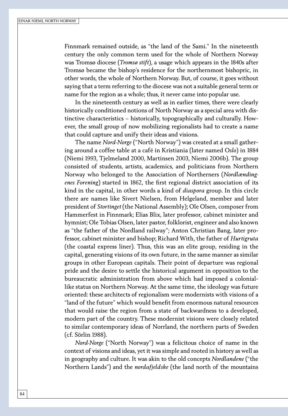Finnmark remained outside, as "the land of the Sami." In the nineteenth century the only common term used for the whole of Northern Norway was Tromsø diocese (*Tromsø stift*), a usage which appears in the 1840s after Tromsø became the bishop's residence for the northernmost bishopric, in other words, the whole of Northern Norway. But, of course, it goes without saying that a term referring to the diocese was not a suitable general term or name for the region as a whole; thus, it never came into popular use.

In the nineteenth century as well as in earlier times, there were clearly historically conditioned notions of North Norway as a special area with distinctive characteristics – historically, topographically and culturally. However, the small group of now mobilizing regionalists had to create a name that could capture and unify their ideas and visions.

The name *Nord-Norge* ("North Norway") was created at a small gathering around a coffee table at a café in Kristiania (later named *Oslo*) in 1884 (Niemi 1993, Tjelmeland 2000, Martinsen 2003, Niemi 2006b). The group consisted of students, artists, academics, and politicians from Northern Norway who belonged to the Association of Northerners (*Nordlændingenes Forening*) started in 1862, the first regional district association of its kind in the capital, in other words a kind of *diaspora* group. In this circle there are names like Sivert Nielsen, from Helgeland, member and later president of *Stortinget* (the National Assembly); Ole Olsen, composer from Hammerfest in Finnmark; Elias Blix, later professor, cabinet minister and hymnist; Ole Tobias Olsen, later pastor, folklorist, engineer and also known as "the father of the Nordland railway"; Anton Christian Bang, later professor, cabinet minister and bishop; Richard With, the father of *Hurtigruta*  (the coastal express liner). Thus, this was an elite group, residing in the capital, generating visions of its own future, in the same manner as similar groups in other European capitals. Their point of departure was regional pride and the desire to settle the historical argument in opposition to the bureaucratic administration from above which had imposed a coloniallike status on Northern Norway. At the same time, the ideology was future oriented: these architects of regionalism were modernists with visions of a "land of the future" which would benefit from enormous natural resources that would raise the region from a state of backwardness to a developed, modern part of the country. These modernist visions were closely related to similar contemporary ideas of Norrland, the northern parts of Sweden (cf. Sörlin 1988).

*Nord-Norge* ("North Norway") was a felicitous choice of name in the context of visions and ideas, yet it was simple and rooted in history as well as in geography and culture. It was akin to the old concepts *Nordlandene* ("the Northern Lands") and the *nordafjeldske* (the land north of the mountains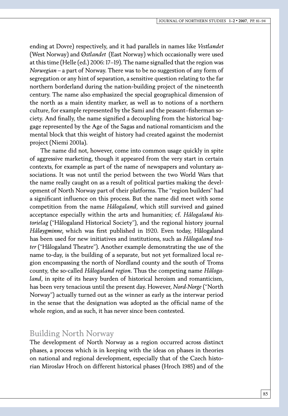ending at Dovre) respectively, and it had parallels in names like *Vestlandet*  (West Norway) and *Østlandet* (East Norway) which occasionally were used at this time (Helle (ed.) 2006: 17–19). The name signalled that the region was *Norwegian –* a part of Norway. There was to be no suggestion of any form of segregation or any hint of separation, a sensitive question relating to the far northern borderland during the nation-building project of the nineteenth century. The name also emphasized the special geographical dimension of the north as a main identity marker, as well as to notions of a northern culture, for example represented by the Sami and the peasant–fisherman society. And finally, the name signified a decoupling from the historical baggage represented by the Age of the Sagas and national romanticism and the mental block that this weight of history had created against the modernist project (Niemi 2001a).

The name did not, however, come into common usage quickly in spite of aggressive marketing, though it appeared from the very start in certain contexts, for example as part of the name of newspapers and voluntary associations. It was not until the period between the two World Wars that the name really caught on as a result of political parties making the development of North Norway part of their platforms. The "region builders" had a significant influence on this process. But the name did meet with some competition from the name *Hålogaland*, which still survived and gained acceptance especially within the arts and humanities; cf. *Hålogaland historielag* ("Hålogaland Historical Society"), and the regional history journal *Håløygminne,* which was first published in 1920. Even today, Hålogaland has been used for new initiatives and institutions, such as *Hålogaland teater* ("Hålogaland Theatre"). Another example demonstrating the use of the name to-day, is the building of a separate, but not yet formalized local region encompassing the north of Nordland county and the south of Troms county, the so-called *Hålogaland region*. Thus the competing name *Hålogaland*, in spite of its heavy burden of historical heroism and romanticism, has been very tenacious until the present day. However, *Nord-Norge* ("North Norway") actually turned out as the winner as early as the interwar period in the sense that the designation was adopted as the official name of the whole region, and as such, it has never since been contested.

### Building North Norway

The development of North Norway as a region occurred across distinct phases, a process which is in keeping with the ideas on phases in theories on national and regional development, especially that of the Czech historian Miroslav Hroch on different historical phases (Hroch 1985) and of the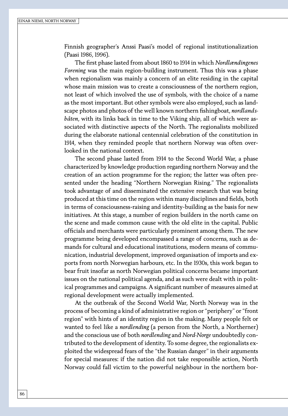Finnish geographer's Anssi Paasi's model of regional institutionalization (Paasi 1986, 1996).

The first phase lasted from about 1860 to 1914 in which *Nordlændingenes Forening* was the main region-building instrument. Thus this was a phase when regionalism was mainly a concern of an elite residing in the capital whose main mission was to create a consciousness of the northern region, not least of which involved the use of symbols, with the choice of a name as the most important. But other symbols were also employed, such as landscape photos and photos of the well known northern fishingboat, *nordlandsbåten*, with its links back in time to the Viking ship, all of which were associated with distinctive aspects of the North. The regionalists mobilized during the elaborate national centennial celebration of the constitution in 1914, when they reminded people that northern Norway was often overlooked in the national context.

The second phase lasted from 1914 to the Second World War, a phase characterized by knowledge production regarding northern Norway and the creation of an action programme for the region; the latter was often presented under the heading "Northern Norwegian Rising." The regionalists took advantage of and disseminated the extensive research that was being produced at this time on the region within many disciplines and fields, both in terms of consciousness-raising and identity-building as the basis for new initiatives. At this stage, a number of region builders in the north came on the scene and made common cause with the old elite in the capital. Public officials and merchants were particularly prominent among them. The new programme being developed encompassed a range of concerns, such as demands for cultural and educational institutions, modern means of communication, industrial development, improved organisation of imports and exports from north Norwegian harbours, etc. In the 1930s, this work began to bear fruit insofar as north Norwegian political concerns became important issues on the national political agenda, and as such were dealt with in political programmes and campaigns. A significant number of measures aimed at regional development were actually implemented.

At the outbreak of the Second World War, North Norway was in the process of becoming a kind of administrative region or "periphery" or "front region" with hints of an identity region in the making. Many people felt or wanted to feel like a *nordlending* (a person from the North, a Northerner) and the conscious use of both *nordlending* and *Nord-Norge* undoubtedly contributed to the development of identity. To some degree, the regionalists exploited the widespread fears of the "the Russian danger" in their arguments for special measures: if the nation did not take responsible action, North Norway could fall victim to the powerful neighbour in the northern bor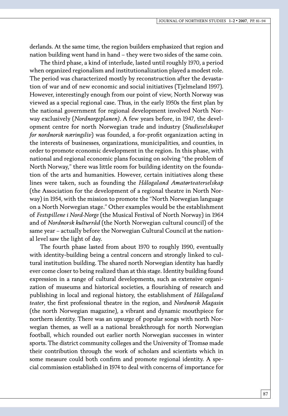derlands. At the same time, the region builders emphasized that region and nation building went hand in hand – they were two sides of the same coin.

The third phase, a kind of interlude, lasted until roughly 1970, a period when organized regionalism and institutionalization played a modest role. The period was characterized mostly by reconstruction after the devastation of war and of new economic and social initiatives (Tjelmeland 1997). However, interestingly enough from our point of view, North Norway was viewed as a special regional case. Thus, in the early 1950s the first plan by the national government for regional development involved North Norway exclusively (*Nordnorgeplanen).* A few years before, in 1947, the development centre for north Norwegian trade and industry (*Studieselskapet for nordnorsk næringsliv*) was founded, a for-profit organization acting in the interests of businesses, organizations, municipalities, and counties, in order to promote economic development in the region. In this phase, with national and regional economic plans focusing on solving "the problem of North Norway," there was little room for building identity on the foundation of the arts and humanities. However, certain initiatives along these lines were taken, such as founding the *Hålogaland Amatørteaterselskap*  (the Association for the development of a regional theatre in North Norway) in 1954, with the mission to promote the "North Norwegian language on a North Norwegian stage." Other examples would be the establishment of *Festspillene i Nord-Norge* (the Musical Festival of North Norway) in 1964 and of *Nordnorsk kulturråd* (the North Norwegian cultural council) of the same year – actually before the Norwegian Cultural Council at the national level saw the light of day.

The fourth phase lasted from about 1970 to roughly 1990, eventually with identity-building being a central concern and strongly linked to cultural institution building. The shared north Norwegian identity has hardly ever come closer to being realized than at this stage. Identity building found expression in a range of cultural developments, such as extensive organization of museums and historical societies, a flourishing of research and publishing in local and regional history, the establishment of *Hålogaland teater*, the first professional theatre in the region, and *Nordnorsk Magasin*  (the north Norwegian magazine), a vibrant and dynamic mouthpiece for northern identity. There was an upsurge of popular songs with north Norwegian themes, as well as a national breakthrough for north Norwegian football, which rounded out earlier north Norwegian successes in winter sports. The district community colleges and the University of Tromsø made their contribution through the work of scholars and scientists which in some measure could both confirm and promote regional identity. A special commission established in 1974 to deal with concerns of importance for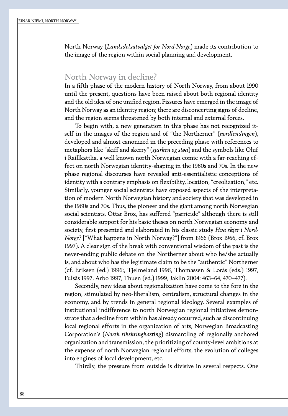North Norway (*Landsdelsutvalget for Nord-Norge*) made its contribution to the image of the region within social planning and development.

### North Norway in decline?

In a fifth phase of the modern history of North Norway, from about 1990 until the present, questions have been raised about both regional identity and the old idea of one unified region. Fissures have emerged in the image of North Norway as an identity region; there are disconcerting signs of decline, and the region seems threatened by both internal and external forces.

To begin with, a new generation in this phase has not recognized itself in the images of the region and of "the Northerner" (*nordlendingen*), developed and almost canonized in the preceding phase with references to metaphors like "skiff and skerry" (*sjarken og støa*) and the symbols like Oluf i Raillkattlia, a well known north Norwegian comic with a far-reaching effect on north Norwegian identity-shaping in the 1960s and 70s. In the new phase regional discourses have revealed anti-essentialistic conceptions of identity with a contrary emphasis on flexibility, location, "creolization," etc. Similarly, younger social scientists have opposed aspects of the interpretation of modern North Norwegian history and society that was developed in the 1960s and 70s. Thus, the pioneer and the giant among north Norwegian social scientists, Ottar Brox, has suffered "parricide" although there is still considerable support for his basic theses on north Norwegian economy and society, first presented and elaborated in his classic study *Hva skjer i Nord-Norge?* ["What happens in North Norway?"] from 1966 (Brox 1966, cf. Brox 1997). A clear sign of the break with conventional wisdom of the past is the never-ending public debate on the Northerner about who he/she actually is, and about who has the legitimate claim to be the "authentic" Northerner (cf. Eriksen (ed.) 1996;, Tjelmeland 1996, Thomassen & Lorås (eds.) 1997, Fulsås 1997, Arbo 1997, Thuen (ed.) 1999, Jaklin 2004: 463–64, 470–477).

Secondly, new ideas about regionalization have come to the fore in the region, stimulated by neo-liberalism, centralism, structural changes in the economy, and by trends in general regional ideology. Several examples of institutional indifference to north Norwegian regional initiatives demonstrate that a decline from within has already occurred, such as discontinuing local regional efforts in the organization of arts, Norwegian Broadcasting Corporation's (*Norsk rikskringkasting*) dismantling of regionally anchored organization and transmission, the prioritizing of county-level ambitions at the expense of north Norwegian regional efforts, the evolution of colleges into engines of local development, etc.

Thirdly, the pressure from outside is divisive in several respects. One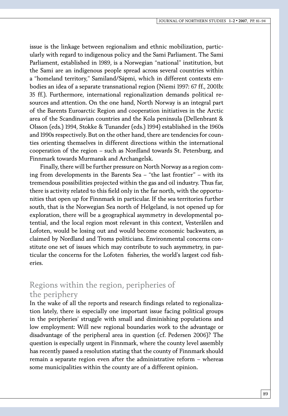issue is the linkage between regionalism and ethnic mobilization, particularly with regard to indigenous policy and the Sami Parliament. The Sami Parliament, established in 1989, is a Norwegian "national" institution, but the Sami are an indigenous people spread across several countries within a "homeland territory," Samiland/Sápmi, which in different contexts embodies an idea of a separate transnational region (Niemi 1997: 67 ff., 2001b: 35 ff.). Furthermore, international regionalization demands political resources and attention. On the one hand, North Norway is an integral part of the Barents Euroarctic Region and cooperation initiatives in the Arctic area of the Scandinavian countries and the Kola peninsula (Dellenbrant & Olsson (eds.) 1994, Stokke & Tunander (eds.) 1994) established in the 1960s and 1990s respectively. But on the other hand, there are tendencies for counties orienting themselves in different directions within the international cooperation of the region – such as Nordland towards St. Petersburg, and Finnmark towards Murmansk and Archangelsk.

Finally, there will be further pressure on North Norway as a region coming from developments in the Barents Sea – "the last frontier" – with its tremendous possibilities projected within the gas and oil industry. Thus far, there is activity related to this field only in the far north, with the opportunities that open up for Finnmark in particular. If the sea territories further south, that is the Norwegian Sea north of Helgeland, is not opened up for exploration, there will be a geographical asymmetry in developmental potential, and the local region most relevant in this context, Vesterålen and Lofoten, would be losing out and would become economic backwaters, as claimed by Nordland and Troms politicians. Environmental concerns constitute one set of issues which may contribute to such asymmetry, in particular the concerns for the Lofoten fisheries, the world's largest cod fisheries.

### Regions within the region, peripheries of the periphery

In the wake of all the reports and research findings related to regionalization lately, there is especially one important issue facing political groups in the peripheries' struggle with small and diminishing populations and low employment: Will new regional boundaries work to the advantage or disadvantage of the peripheral area in question (cf. Pedersen 2006)? The question is especially urgent in Finnmark, where the county level assembly has recently passed a resolution stating that the county of Finnmark should remain a separate region even after the administrative reform – whereas some municipalities within the county are of a different opinion.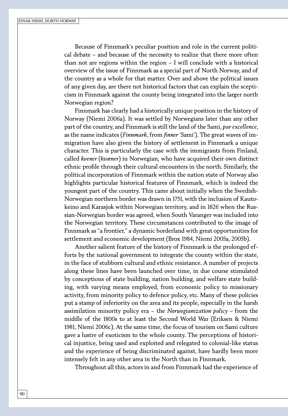Because of Finnmark's peculiar position and role in the current political debate – and because of the necessity to realize that there more often than not are regions within the region – I will conclude with a historical overview of the issue of Finnmark as a special part of North Norway, and of the country as a whole for that matter. Over and above the political issues of any given day, are there not historical factors that can explain the scepticism in Finnmark against the county being integrated into the larger north Norwegian region?

Finnmark has clearly had a historically unique position in the history of Norway (Niemi 2006a). It was settled by Norwegians later than any other part of the country, and Finnmark is still the land of the Sami, *par excellence*, as the name indicates (*Finnmark*, from *finner* 'Sami'). The great waves of immigration have also given the history of settlement in Finnmark a unique character. This is particularly the case with the immigrants from Finland, called *kvener* (*kvæner*) in Norwegian, who have acquired their own distinct ethnic profile through their cultural encounters in the north. Similarly, the political incorporation of Finnmark within the nation state of Norway also highlights particular historical features of Finnmark, which is indeed the youngest part of the country. This came about initially when the Swedish-Norwegian northern border was drawn in 1751, with the inclusion of Kautokeino and Karasjok within Norwegian territory, and in 1826 when the Russian-Norwegian border was agreed, when South Varanger was included into the Norwegian territory. These circumstances contributed to the image of Finnmark as "a frontier," a dynamic borderland with great opportunities for settlement and economic development (Brox 1984, Niemi 2005a, 2005b).

Another salient feature of the history of Finnmark is the prolonged efforts by the national government to integrate the county within the state, in the face of stubborn cultural and ethnic resistance. A number of projects along these lines have been launched over time, in due course stimulated by conceptions of state building, nation building, and welfare state building, with varying means employed, from economic policy to missionary activity, from minority policy to defence policy, etc. Many of these policies put a stamp of inferiority on the area and its people, especially in the harsh assimilation minority policy era – the *Norwegianization policy –* from the middle of the 1800s to at least the Second World War (Eriksen & Niemi 1981, Niemi 2006c). At the same time, the focus of tourism on Sami culture gave a lustre of exoticism to the whole county. The perceptions of historical injustice, being used and exploited and relegated to colonial-like status and the experience of being discriminated against, have hardly been more intensely felt in any other area in the North than in Finnmark.

Throughout all this, actors in and from Finnmark had the experience of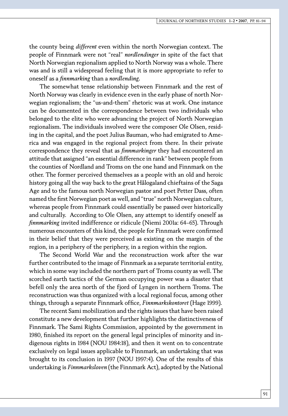the county being *different* even within the north Norwegian context. The people of Finnmark were not "real" *nordlendinger* in spite of the fact that North Norwegian regionalism applied to North Norway was a whole. There was and is still a widespread feeling that it is more appropriate to refer to oneself as a *finnmarking* than a *nordlending*.

The somewhat tense relationship between Finnmark and the rest of North Norway was clearly in evidence even in the early phase of north Norwegian regionalism; the "us-and-them" rhetoric was at work. One instance can be documented in the correspondence between two individuals who belonged to the elite who were advancing the project of North Norwegian regionalism. The individuals involved were the composer Ole Olsen, residing in the capital, and the poet Julius Bauman, who had emigrated to America and was engaged in the regional project from there. In their private correspondence they reveal that as *finnmarkinger* they had encountered an attitude that assigned "an essential difference in rank" between people from the counties of Nordland and Troms on the one hand and Finnmark on the other. The former perceived themselves as a people with an old and heroic history going all the way back to the great Hålogaland chieftains of the Saga Age and to the famous north Norwegian pastor and poet Petter Dass, often named the first Norwegian poet as well, and "true" north Norwegian culture, whereas people from Finnmark could essentially be passed over historically and culturally. According to Ole Olsen, any attempt to identify oneself as *finnmarking* invited indifference or ridicule (Niemi 2001a: 64–65). Through numerous encounters of this kind, the people for Finnmark were confirmed in their belief that they were perceived as existing on the margin of the region, in a periphery of the periphery, in a region within the region.

The Second World War and the reconstruction work after the war further contributed to the image of Finnmark as a separate territorial entity, which in some way included the northern part of Troms county as well. The scorched earth tactics of the German occupying power was a disaster that befell only the area north of the fjord of Lyngen in northern Troms. The reconstruction was thus organized with a local regional focus, among other things, through a separate Finnmark office, *Finnmarkskontoret* (Hage 1999).

The recent Sami mobilization and the rights issues that have been raised constitute a new development that further highlights the distinctiveness of Finnmark. The Sami Rights Commission, appointed by the government in 1980, finished its report on the general legal principles of minority and indigenous rights in 1984 (NOU 1984:18), and then it went on to concentrate exclusively on legal issues applicable to Finnmark, an undertaking that was brought to its conclusion in 1997 (NOU 1997:4). One of the results of this undertaking is *Finnmarksloven* (the Finnmark Act), adopted by the National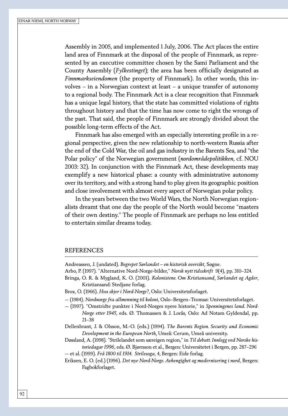Assembly in 2005, and implemented 1 July, 2006. The Act places the entire land area of Finnmark at the disposal of the people of Finnmark, as represented by an executive committee chosen by the Sami Parliament and the County Assembly (*Fylkestinget*); the area has been officially designated as *Finnmarkseiendomen* (the property of Finnmark). In other words, this involves – in a Norwegian context at least – a unique transfer of autonomy to a regional body. The Finnmark Act is a clear recognition that Finnmark has a unique legal history, that the state has committed violations of rights throughout history and that the time has now come to right the wrongs of the past. That said, the people of Finnmark are strongly divided about the possible long-term effects of the Act.

Finnmark has also emerged with an especially interesting profile in a regional perspective, given the new relationship to north-western Russia after the end of the Cold War, the oil and gas industry in the Barents Sea, and "the Polar policy" of the Norwegian government (*nordområdepolitikken*, cf. NOU 2003: 32). In conjunction with the Finnmark Act, these developments may exemplify a new historical phase: a county with administrative autonomy over its territory, and with a strong hand to play given its geographic position and close involvement with almost every aspect of Norwegian polar policy.

In the years between the two World Wars, the North Norwegian regionalists dreamt that one day the people of the North would become "masters of their own destiny." The people of Finnmark are perhaps no less entitled to entertain similar dreams today.

#### **REFERENCES**

Andreassen, J. (undated). *Begrepet Sørlandet – en historisk oversikt*, Søgne.

Arbo, P. (1997). "Alternative Nord-Norge-bilder," *Norsk nytt tidsskrift* 9(4), pp. 310–324.

- Bringa, O. R. & Mygland, K. O. (2001). *Kolonistene. Om Kristiansand, Sørlandet og Agder*, Kristiansand: Stedjane forlag.
- Brox, O. (1966). *Hva skjer i Nord-Norge?*, Oslo: Universitetsforlaget.
- (1984). *Nordnorge fra allmenning til koloni*, Oslo–Bergen–Tromsø: Universitetsforlaget.
- (1997). "Omstridte punkter i Nord-Norges nyere historie," in *Spenningenes land. Nord-Norge etter 1945*, eds. Ø. Thomassen & J. Lorås, Oslo: Ad Notam Gyldendal, pp. 21–38

Dellenbrant, J. & Olsson, M.-O. (eds.) (1994). *The Barents Region. Security and Economic Development in the European North,* Umeå: Cerum, Umeå university.

Døssland, A. (1998). "Strilelandet som særeigen region," in *Til debatt. Innlegg ved Norske historiedagar 1996*, eds. Ø. Bjørnson et al., Bergen: Universitetet i Bergen, pp. 287–296 — et al. (1999). *Frå 1800 til 1914. Strilesoga*, 4, Bergen: Eide forlag.

Eriksen, E. O. (ed.) (1996). *Det nye Nord-Norge. Avhengighet og modernisering i nord*, Bergen: Fagbokforlaget.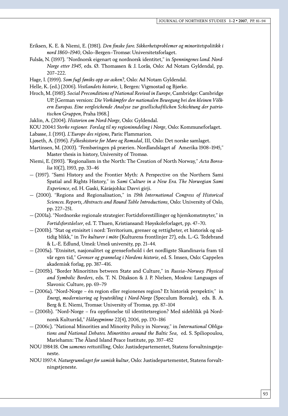- Eriksen, K. E. & Niemi, E. (1981). *Den finske fare. Sikkerhetsproblemer og minoritetspolitikk i nord 1860–1940*, Oslo–Bergen–Tromsø: Universitetsforlaget.
- Fulsås, N. (1997). "Nordnorsk eigenart og nordnorsk identitet," in *Spenningenes land. Nord-Norge etter 1945*, eds. Ø. Thomassen & J. Lorås, Oslo: Ad Notam Gyldendal, pp. 207–222.
- Hage, I. (1999). *Som fugl føniks opp av asken?*, Oslo: Ad Notam Gyldendal.
- Helle, K. (ed.) (2006). *Vestlandets historie*, 1, Bergen: Vigmostad og Bjørke.
- Hroch, M. (1985). *Social Preconditions of National Revival in Europe*, Cambridge: Cambridge UP. [German version: *Die Vorkämpfer der nationalen Bewegung bei den kleinen Völkern Europas. Eine vergleichende Analyse zur gesellschaftlichen Schichtung der patriotischen Gruppen*, Praha 1968.]
- Jaklin, A. (2004). *Historien om Nord-Norge*, Oslo: Gyldendal.
- KOU 2004:1 *Sterke regioner. Forslag til ny regioninndeling i Norge*, Oslo: Kommuneforlaget.
- Labasse, J. (1991). *L'Europe des régions*, Paris: Flammarion.
- Ljøseth, A. (1996). *Fylkeshistorie for Møre og Romsdal*, III, Oslo: Det norske samlaget.
- Martinsen, M. (2003). "Fembøringen på prærien. Nordlandslaget af Amerika 1908–1945," Master thesis in history, University of Tromsø.
- Niemi, E. (1993). "Regionalism in the North: The Creation of North Norway," *Acta Borealia* 10(2), 1993, pp. 33–46
- (1997). "Sami History and the Frontier Myth: A Perspective on the Northern Sami Spatial and Rights History," in *Sami Culture in a New Era. The Norwegian Sami Experience*, ed. H. Gaski, Kárásjohka: Davvi girji.
- (2000). "Regions and Regionalisation," in *19th International Congress of Historical Sciences. Reports, Abstracts and Round Table Introductions*, Oslo: University of Oslo, pp. 227–251.
- (2001a). "Nordnorske regionale strategier: Fortidsforestillinger og hjemkomstmyter," in *Fortidsforståelser*, ed. T. Thuen, Kristiansand: Høyskoleforlaget, pp. 47–70.
- (2001b). "Stat og etnisitet i nord: Territorium, grenser og rettigheter, et historisk og nåtidig blikk," in *Tre kulturer i möte* (Kulturens frontlinjer 27), eds. L.-G. Tedebrand & L.-E. Edlund, Umeå: Umeå university, pp. 21–44.
- (2005a). "Etnisitet, nasjonalitet og grenseforhold i det nordligste Skandinavia fram til vår egen tid," *Grenser og grannelag i Nordens historie*, ed. S. Imsen, Oslo: Cappelen akademisk forlag, pp. 387–416.
- (2005b). "Border Minoritites between State and Culture," in *Russia–Norway. Physical and Symbolic Borders*, eds. T. N. Džakson & J. P. Nielsen, Moskva: Languages of Slavonic Culture, pp. 69–79
- (2006a). "Nord-Norge én region eller regionenes region? Et historisk perspektiv," in *Energi, modernisering og byutvikling i Nord-Norge* (Speculum Boreale), eds. B. A. Berg & E. Niemi, Tromsø: University of Tromsø, pp. 87–104
- (2006b). "Nord-Norge fra oppfinnelse til identitetsregion? Med sideblikk på Nordnorsk Kulturråd," *Håløygminne* 22(4), 2006, pp. 170–186
- (2006c). "National Minorities and Minority Policy in Norway," in *International Obligations and National Debates. Minoritites around the Baltic Sea*, ed. S. Spiliopoulou, Mariehamn: The Åland Island Peace Institute, pp. 397–452
- NOU 1984:18. *Om samenes rettsstilling*, Oslo: Justisdepartementet, Statens forvaltningstjeneste.
- NOU 1997:4. *Naturgrunnlaget for samisk kultur*, Oslo: Justisdepartementet, Statens forvaltningstjeneste.